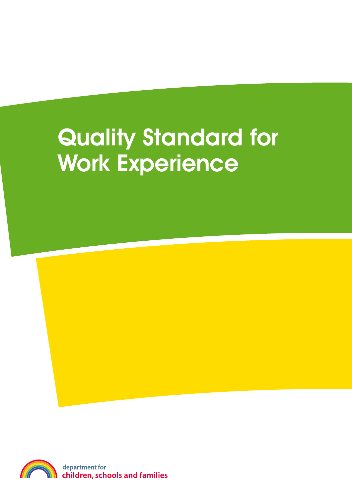# Quality Standard for Work Experience

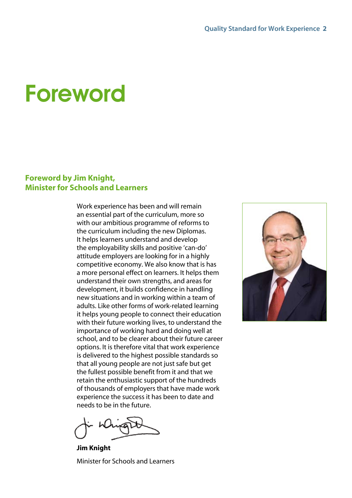## Foreword

#### **Foreword by Jim Knight, Minister for Schools and Learners**

Work experience has been and will remain an essential part of the curriculum, more so with our ambitious programme of reforms to the curriculum including the new Diplomas. It helps learners understand and develop the employability skills and positive 'can-do' attitude employers are looking for in a highly competitive economy. We also know that is has a more personal effect on learners. It helps them understand their own strengths, and areas for development, it builds confidence in handling new situations and in working within a team of adults. Like other forms of work-related learning it helps young people to connect their education with their future working lives, to understand the importance of working hard and doing well at school, and to be clearer about their future career options. It is therefore vital that work experience is delivered to the highest possible standards so that all young people are not just safe but get the fullest possible benefit from it and that we retain the enthusiastic support of the hundreds of thousands of employers that have made work experience the success it has been to date and needs to be in the future.

**Jim Knight** Minister for Schools and Learners

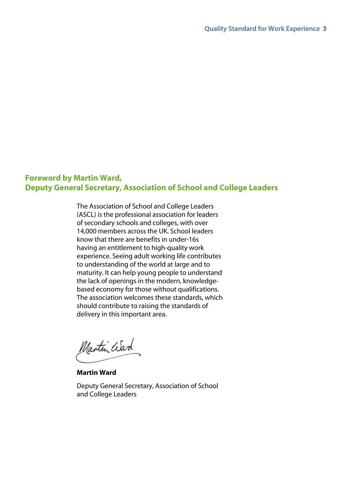#### **Foreword by Martin Ward, Deputy General Secretary, Association of School and College Leaders**

The Association of School and College Leaders (ASCL) is the professional association for leaders of secondary schools and colleges, with over 14,000 members across the UK. School leaders know that there are benefits in under-16s having an entitlement to high-quality work experience. Seeing adult working life contributes to understanding of the world at large and to maturity. It can help young people to understand the lack of openings in the modern, knowledgebased economy for those without qualifications. The association welcomes these standards, which should contribute to raising the standards of delivery in this important area.

Martin Ward

**Martin Ward**

Deputy General Secretary, Association of School and College Leaders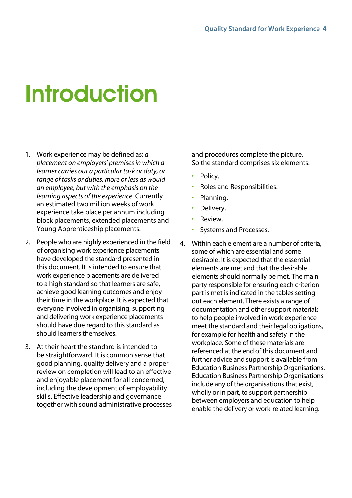# **Introduction**

- 1. Work experience may be defined as: *a placement on employers' premises in which a learner carries out a particular task or duty, or range of tasks or duties, more or less as would an employee, but with the emphasis on the learning aspects of the experience*. Currently an estimated two million weeks of work experience take place per annum including block placements, extended placements and Young Apprenticeship placements.
- 2. People who are highly experienced in the field of organising work experience placements have developed the standard presented in this document. It is intended to ensure that work experience placements are delivered to a high standard so that learners are safe, achieve good learning outcomes and enjoy their time in the workplace. It is expected that everyone involved in organising, supporting and delivering work experience placements should have due regard to this standard as should learners themselves.
- 3. At their heart the standard is intended to be straightforward. It is common sense that good planning, quality delivery and a proper review on completion will lead to an effective and enjoyable placement for all concerned, including the development of employability skills. Effective leadership and governance together with sound administrative processes

and procedures complete the picture. So the standard comprises six elements:

- Policy.
- Roles and Responsibilities.
- Planning.
- Delivery.
- Review.
- Systems and Processes.
- 4. Within each element are a number of criteria, some of which are essential and some desirable. It is expected that the essential elements are met and that the desirable elements should normally be met. The main party responsible for ensuring each criterion part is met is indicated in the tables setting out each element. There exists a range of documentation and other support materials to help people involved in work experience meet the standard and their legal obligations, for example for health and safety in the workplace. Some of these materials are referenced at the end of this document and further advice and support is available from Education Business Partnership Organisations. Education Business Partnership Organisations include any of the organisations that exist, wholly or in part, to support partnership between employers and education to help enable the delivery or work-related learning.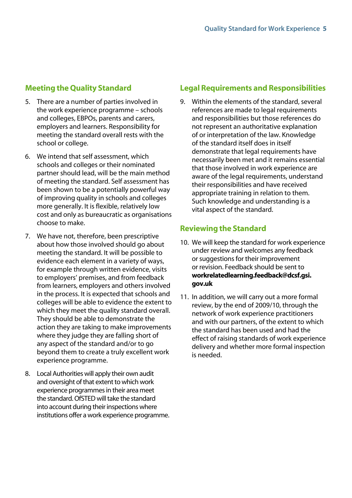## **Meeting the Quality Standard**

- 5. There are a number of parties involved in the work experience programme – schools and colleges, EBPOs, parents and carers, employers and learners. Responsibility for meeting the standard overall rests with the school or college.
- 6. We intend that self assessment, which schools and colleges or their nominated partner should lead, will be the main method of meeting the standard. Self assessment has been shown to be a potentially powerful way of improving quality in schools and colleges more generally. It is flexible, relatively low cost and only as bureaucratic as organisations choose to make.
- 7. We have not, therefore, been prescriptive about how those involved should go about meeting the standard. It will be possible to evidence each element in a variety of ways, for example through written evidence, visits to employers' premises, and from feedback from learners, employers and others involved in the process. It is expected that schools and colleges will be able to evidence the extent to which they meet the quality standard overall. They should be able to demonstrate the action they are taking to make improvements where they judge they are falling short of any aspect of the standard and/or to go beyond them to create a truly excellent work experience programme.
- 8. Local Authorities will apply their own audit and oversight of that extent to which work experience programmes in their area meet the standard. OfSTED will take the standard into account during their inspections where institutions offer a work experience programme.

## **Legal Requirements and Responsibilities**

9. Within the elements of the standard, several references are made to legal requirements and responsibilities but those references do not represent an authoritative explanation of or interpretation of the law. Knowledge of the standard itself does in itself demonstrate that legal requirements have necessarily been met and it remains essential that those involved in work experience are aware of the legal requirements, understand their responsibilities and have received appropriate training in relation to them. Such knowledge and understanding is a vital aspect of the standard.

### **Reviewing the Standard**

- 10. We will keep the standard for work experience under review and welcomes any feedback or suggestions for their improvement or revision. Feedback should be sent to **workrelatedlearning.feedback@dcsf.gsi. gov.uk**
- 11. In addition, we will carry out a more formal review, by the end of 2009/10, through the network of work experience practitioners and with our partners, of the extent to which the standard has been used and had the effect of raising standards of work experience delivery and whether more formal inspection is needed.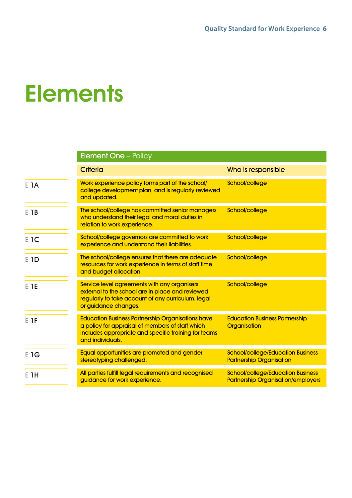## **Elements**

|      | <b>Element One - Policy</b>                                                                                                                                                              |                                                                                       |
|------|------------------------------------------------------------------------------------------------------------------------------------------------------------------------------------------|---------------------------------------------------------------------------------------|
|      | <b>Criteria</b>                                                                                                                                                                          | Who is responsible                                                                    |
| E 1A | Work experience policy forms part of the school/<br>college development plan, and is regularly reviewed<br>and updated.                                                                  | School/college                                                                        |
| E 1B | The school/college has committed senior managers<br>who understand their legal and moral duties in<br>relation to work experience.                                                       | School/college                                                                        |
| E 1C | School/college governors are committed to work<br>experience and understand their liabilities.                                                                                           | School/college                                                                        |
| E 1D | The school/college ensures that there are adequate<br>resources for work experience in terms of staff time<br>and budget allocation.                                                     | School/college                                                                        |
| E TE | Service level agreements with any organisers<br>external to the school are in place and reviewed<br>regularly to take account of any curriculum, legal<br>or guidance changes.           | School/college                                                                        |
| E 1F | <b>Education Business Partnership Organisations have</b><br>a policy for appraisal of members of staff which<br>includes appropriate and specific training for teams<br>and individuals. | <b>Education Business Partnership</b><br>Organisation                                 |
| E 1G | Equal opportunities are promoted and gender<br>stereotyping challenged.                                                                                                                  | <b>School/college/Education Business</b><br><b>Partnership Organisation</b>           |
| E 1H | All parties fulfill legal requirements and recognised<br>guidance for work experience.                                                                                                   | <b>School/college/Education Business</b><br><b>Partnership Organisation/employers</b> |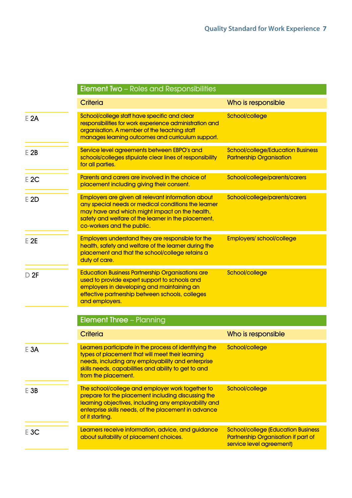|        | <b>Element Two</b> – Roles and Responsibilities                                                                                                                                                                                                  |                                                                                                                     |
|--------|--------------------------------------------------------------------------------------------------------------------------------------------------------------------------------------------------------------------------------------------------|---------------------------------------------------------------------------------------------------------------------|
|        | <b>Criteria</b>                                                                                                                                                                                                                                  | Who is responsible                                                                                                  |
| E 2A   | School/college staff have specific and clear<br>responsibilities for work experience administration and<br>organisation. A member of the teaching staff<br>manages learning outcomes and curriculum support.                                     | School/college                                                                                                      |
| $E$ 2B | Service level agreements between EBPO's and<br>schools/colleges stipulate clear lines of responsibility<br>for all parties.                                                                                                                      | <b>School/college/Education Business</b><br><b>Partnership Organisation</b>                                         |
| $E$ 2C | Parents and carers are involved in the choice of<br>placement including giving their consent.                                                                                                                                                    | School/college/parents/carers                                                                                       |
| E 2D   | Employers are given all relevant information about<br>any special needs or medical conditions the learner<br>may have and which might impact on the health,<br>safety and welfare of the learner in the placement,<br>co-workers and the public. | School/college/parents/carers                                                                                       |
| $E$ 2E | Employers understand they are responsible for the<br>health, safety and welfare of the learner during the<br>placement and that the school/college retains a<br>duty of care.                                                                    | <b>Employers/school/college</b>                                                                                     |
| D 2F   | <b>Education Business Partnership Organisations are</b><br>used to provide expert support to schools and<br>employers in developing and maintaining an<br>effective partnership between schools, colleges<br>and employers.                      | School/college                                                                                                      |
|        | <b>Element Three - Planning</b>                                                                                                                                                                                                                  |                                                                                                                     |
|        | <b>Criteria</b>                                                                                                                                                                                                                                  | Who is responsible                                                                                                  |
| $E$ 3A | Learners participate in the process of identifying the<br>types of placement that will meet their learning<br>needs, including any employability and enterprise<br>skills needs, capabilities and ability to get to and<br>from the placement.   | School/college                                                                                                      |
| $E$ 3B | The school/college and employer work together to<br>prepare for the placement including discussing the<br>learning objectives, including any employability and<br>enterprise skills needs, of the placement in advance<br>of it starting.        | School/college                                                                                                      |
| $E$ 3C | Learners receive information, advice, and guidance<br>about suitability of placement choices.                                                                                                                                                    | <b>School/college (Education Business</b><br><b>Partnership Organisation if part of</b><br>service level agreement) |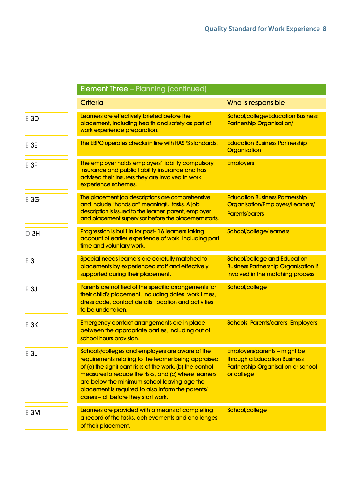|        | <b>Element Three - Planning (continued)</b>                                                                                                                                                                                                                                                                                                                               |                                                                                                                                       |
|--------|---------------------------------------------------------------------------------------------------------------------------------------------------------------------------------------------------------------------------------------------------------------------------------------------------------------------------------------------------------------------------|---------------------------------------------------------------------------------------------------------------------------------------|
|        | <b>Criteria</b>                                                                                                                                                                                                                                                                                                                                                           | Who is responsible                                                                                                                    |
| $E$ 3D | Learners are effectively briefed before the<br>placement, including health and safety as part of<br>work experience preparation.                                                                                                                                                                                                                                          | <b>School/college/Education Business</b><br><b>Partnership Organisation/</b>                                                          |
| $E$ 3E | The EBPO operates checks in line with HASPS standards.                                                                                                                                                                                                                                                                                                                    | <b>Education Business Partnership</b><br><b>Organisation</b>                                                                          |
| $E$ 3F | The employer holds employers' liability compulsory<br>insurance and public liability insurance and has<br>advised their insurers they are involved in work<br>experience schemes.                                                                                                                                                                                         | <b>Employers</b>                                                                                                                      |
| E3G    | The placement job descriptions are comprehensive<br>and include "hands on" meaningful tasks. A job<br>description is issued to the learner, parent, employer<br>and placement supervisor before the placement starts.                                                                                                                                                     | <b>Education Business Partnership</b><br>Organisation/Employers/Learners/<br><b>Parents/carers</b>                                    |
| $D$ 3H | Progression is built in for post- 16 learners taking<br>account of earlier experience of work, including part<br>time and voluntary work.                                                                                                                                                                                                                                 | School/college/learners                                                                                                               |
| $E$ 31 | Special needs learners are carefully matched to<br>placements by experienced staff and effectively<br>supported during their placement.                                                                                                                                                                                                                                   | <b>School/college and Education</b><br><b>Business Partnership Organisation if</b><br>involved in the matching process                |
| E3J    | Parents are notified of the specific arrangements for<br>their child's placement, including dates, work times,<br>dress code, contact details, location and activities<br>to be undertaken.                                                                                                                                                                               | School/college                                                                                                                        |
| E 3K   | <b>Emergency contact arrangements are in place</b><br>between the appropriate parties, including out of<br>school hours provision.                                                                                                                                                                                                                                        | <b>Schools, Parents/carers, Employers</b>                                                                                             |
| $E$ 3L | Schools/colleges and employers are aware of the<br>requirements relating to the learner being appraised<br>of (a) the significant risks of the work, (b) the control<br>measures to reduce the risks, and (c) where learners<br>are below the minimum school leaving age the<br>placement is required to also inform the parents/<br>carers - all before they start work. | <b>Employers/parents - might be</b><br><b>through a Education Business</b><br><b>Partnership Organisation or school</b><br>or college |
| $E$ 3M | Learners are provided with a means of completing<br>a record of the tasks, achievements and challenges<br>of their placement.                                                                                                                                                                                                                                             | School/college                                                                                                                        |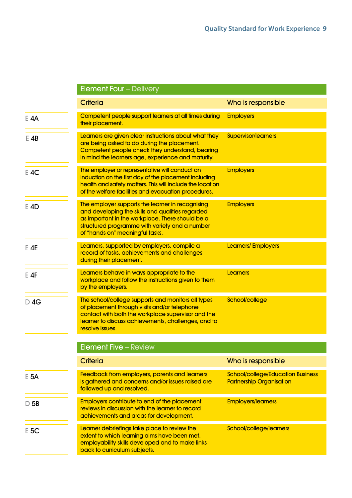|        | <b>Element Four - Delivery</b>                                                                                                                                                                                                                |                                                                             |
|--------|-----------------------------------------------------------------------------------------------------------------------------------------------------------------------------------------------------------------------------------------------|-----------------------------------------------------------------------------|
|        | <b>Criteria</b>                                                                                                                                                                                                                               | Who is responsible                                                          |
| $E$ 4A | Competent people support learners at all times during<br>their placement.                                                                                                                                                                     | <b>Employers</b>                                                            |
| $E$ 4B | Learners are given clear instructions about what they<br>are being asked to do during the placement.<br>Competent people check they understand, bearing<br>in mind the learners age, experience and maturity.                                 | <b>Supervisor/learners</b>                                                  |
| $E$ 4C | The employer or representative will conduct an<br>induction on the first day of the placement including<br>health and safety matters. This will include the location<br>of the welfare facilities and evacuation procedures.                  | <b>Employers</b>                                                            |
| $E$ 4D | The employer supports the learner in recognising<br>and developing the skills and qualities regarded<br>as important in the workplace. There should be a<br>structured programme with variety and a number<br>of "hands on" meaningful tasks. | <b>Employers</b>                                                            |
| $E$ 4E | Learners, supported by employers, compile a<br>record of tasks, achievements and challenges<br>during their placement.                                                                                                                        | Learners/Employers                                                          |
| $E$ 4F | Learners behave in ways appropriate to the<br>workplace and follow the instructions given to them<br>by the employers.                                                                                                                        | <b>Learners</b>                                                             |
| $D$ 4G | The school/college supports and monitors all types<br>of placement through visits and/or telephone<br>contact with both the workplace supervisor and the<br>learner to discuss achievements, challenges, and to<br>resolve issues.            | School/college                                                              |
|        | <b>Element Five - Review</b>                                                                                                                                                                                                                  |                                                                             |
|        | <b>Criteria</b>                                                                                                                                                                                                                               | Who is responsible                                                          |
| $E$ 5A | Feedback from employers, parents and learners<br>is gathered and concerns and/or issues raised are<br>followed up and resolved.                                                                                                               | <b>School/college/Education Business</b><br><b>Partnership Organisation</b> |
| $D$ 5B | <b>Employers contribute to end of the placement</b><br>reviews in discussion with the learner to record<br>achievements and areas for development.                                                                                            | <b>Employers/learners</b>                                                   |
| $E$ 5C | Learner debriefings take place to review the<br>extent to which learning aims have been met,<br>employability skills developed and to make links<br>back to curriculum subjects.                                                              | School/college/learners                                                     |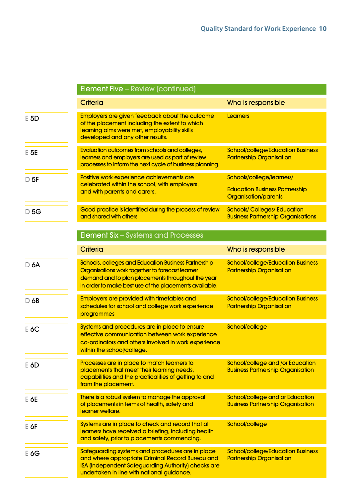|                   | <b>Element Five - Review (continued)</b>                                                                                                                                                                                      |                                                                                                   |
|-------------------|-------------------------------------------------------------------------------------------------------------------------------------------------------------------------------------------------------------------------------|---------------------------------------------------------------------------------------------------|
|                   | <b>Criteria</b>                                                                                                                                                                                                               | Who is responsible                                                                                |
| E 5D              | <b>Employers are given feedback about the outcome</b><br>of the placement including the extent to which<br>learning aims were met, employability skills<br>developed and any other results.                                   | <b>Learners</b>                                                                                   |
| $E$ <sub>5E</sub> | Evaluation outcomes from schools and colleges,<br>learners and employers are used as part of review<br>processes to inform the next cycle of business planning.                                                               | <b>School/college/Education Business</b><br><b>Partnership Organisation</b>                       |
| $D$ 5F            | Positive work experience achievements are<br>celebrated within the school, with employers,<br>and with parents and carers.                                                                                                    | Schools/college/learners/<br><b>Education Business Partnership</b><br><b>Organisation/parents</b> |
| $D$ 5G            | Good practice is identified during the process of review<br>and shared with others.                                                                                                                                           | <b>Schools/Colleges/Education</b><br><b>Business Partnership Organisations</b>                    |
|                   | <b>Element Six - Systems and Processes</b>                                                                                                                                                                                    |                                                                                                   |
|                   | <b>Criteria</b>                                                                                                                                                                                                               | Who is responsible                                                                                |
| $D$ 6A            | <b>Schools, colleges and Education Business Partnership</b><br>Organisations work together to forecast learner<br>demand and to plan placements throughout the year<br>in order to make best use of the placements available. | <b>School/college/Education Business</b><br><b>Partnership Organisation</b>                       |
| $D$ 6B            | <b>Employers are provided with timetables and</b><br>schedules for school and college work experience<br>programmes                                                                                                           | <b>School/college/Education Business</b><br><b>Partnership Organisation</b>                       |
| $E$ 6C            | Systems and procedures are in place to ensure<br>effective communication between work experience<br>co-ordinators and others involved in work experience<br>within the school/college.                                        | School/college                                                                                    |
| $E$ 6D            | Processes are in place to match learners to<br>placements that meet their learning needs,<br>capabilities and the practicalities of getting to and<br>from the placement.                                                     | <b>School/college and /or Education</b><br><b>Business Partnership Organisation</b>               |
| $E$ 6E            | There is a robust system to manage the approval<br>of placements in terms of health, safety and<br>learner welfare.                                                                                                           | School/college and or Education<br><b>Business Partnership Organisation</b>                       |
| $E$ 6F            | Systems are in place to check and record that all<br>learners have received a briefing, including health<br>and safety, prior to placements commencing.                                                                       | School/college                                                                                    |
| $E$ 6G            | Safeguarding systems and procedures are in place<br>and where appropriate Criminal Record Bureau and<br>ISA (Independent Safeguarding Authority) checks are<br>undertaken in line with national guidance.                     | <b>School/college/Education Business</b><br><b>Partnership Organisation</b>                       |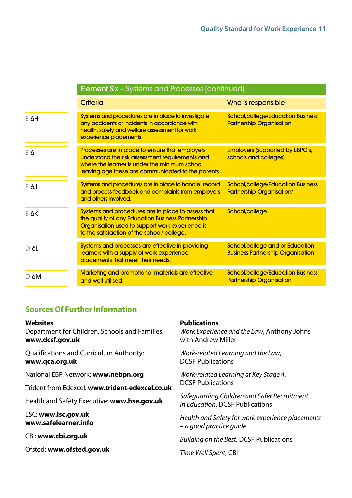|        | Element Six – Systems and Processes (continued)                                                                                                                                                           |                                                                              |
|--------|-----------------------------------------------------------------------------------------------------------------------------------------------------------------------------------------------------------|------------------------------------------------------------------------------|
|        | <b>Criteria</b>                                                                                                                                                                                           | Who is responsible                                                           |
| $E$ 6H | Systems and procedures are in place to investigate<br>any accidents or incidents in accordance with<br>health, safety and welfare assessment for work<br>experience placements.                           | <b>School/college/Education Business</b><br><b>Partnership Organisation</b>  |
| $E$ 61 | Processes are in place to ensure that employers<br>understand the risk assessment requirements and<br>where the learner is under the minimum school<br>leaving age these are communicated to the parents. | <b>Employers (supported by EBPO's,</b><br>schools and colleges)              |
| $E$ 6J | Systems and procedures are in place to handle, record<br>and process feedback and complaints from employers<br>and others involved.                                                                       | <b>School/college/Education Business</b><br><b>Partnership Organisation/</b> |
| E 6K   | Systems and procedures are in place to assess that<br>the quality of any Education Business Partnership<br>Organisation used to support work experience is<br>to the satisfaction of the school/ college. | School/college                                                               |
| $D$ 6L | Systems and processes are effective in providing<br>learners with a supply of work experience<br>placements that meet their needs.                                                                        | School/college and or Education<br><b>Business Partnership Organisation</b>  |
| $D$ 6M | <b>Marketing and promotional materials are effective</b><br>and well utilised.                                                                                                                            | <b>School/college/Education Business</b><br><b>Partnership Organisation</b>  |

## **Sources Of Further Information**

#### **Websites**

Department for Children, Schools and Families: **www.dcsf.gov.uk**

Qualifications and Curriculum Authority: **www.qca.org.uk**

National EBP Network: **www.nebpn.org**

Trident from Edexcel: **www.trident-edexcel.co.uk**

Health and Safety Executive: **www.hse.gov.uk**

LSC: **www.lsc.gov.uk www.safelearner.info**

CBI: **www.cbi.org.uk**

Ofsted: **www.ofsted.gov.uk**

#### **Publications**

*Work Experience and the Law*, Anthony Johns with Andrew Miller

*Work-related Learning and the Law*, DCSF Publications

*Work-related Learning at Key Stage 4*, DCSF Publications

*Safeguarding Children and Safer Recruitment in Education*, DCSF Publications

*Health and Safety for work experience placements – a good practice guide* 

*Building on the Best,* DCSF Publications

*Time Well Spent*, CBI